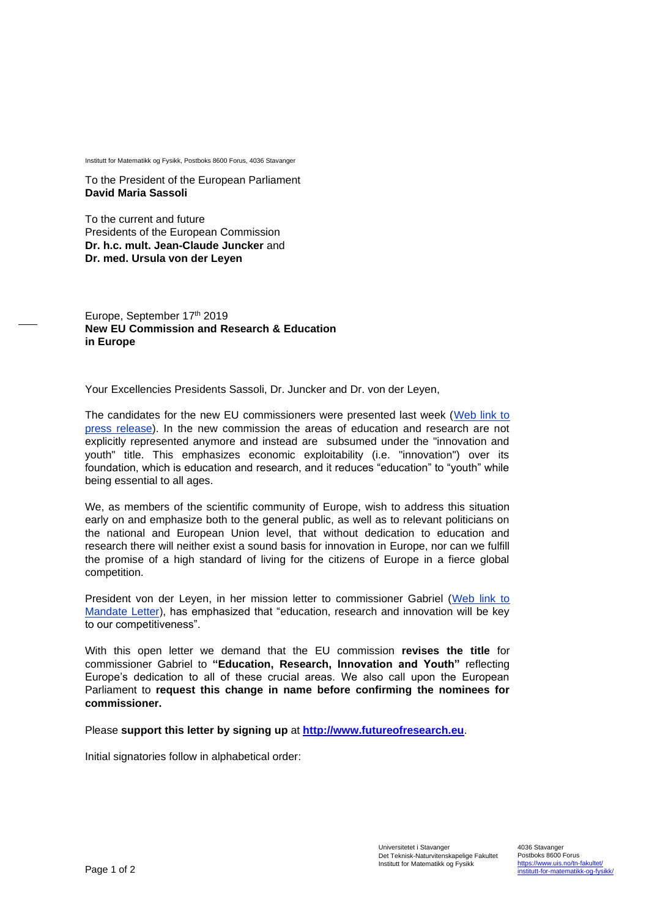Institutt for Matematikk og Fysikk, Postboks 8600 Forus, 4036 Stavanger

To the President of the European Parliament **David Maria Sassoli**

To the current and future Presidents of the European Commission **Dr. h.c. mult. Jean-Claude Juncker** and **Dr. med. Ursula von der Leyen**

Europe, September 17<sup>th</sup> 2019 **New EU Commission and Research & Education in Europe**

Your Excellencies Presidents Sassoli, Dr. Juncker and Dr. von der Leyen,

The candidates for the new EU commissioners were presented last week [\(Web link to](https://europa.eu/rapid/press-release_IP-19-5542_en.htm)  [press release\)](https://europa.eu/rapid/press-release_IP-19-5542_en.htm). In the new commission the areas of education and research are not explicitly represented anymore and instead are subsumed under the "innovation and youth" title. This emphasizes economic exploitability (i.e. "innovation") over its foundation, which is education and research, and it reduces "education" to "youth" while being essential to all ages.

We, as members of the scientific community of Europe, wish to address this situation early on and emphasize both to the general public, as well as to relevant politicians on the national and European Union level, that without dedication to education and research there will neither exist a sound basis for innovation in Europe, nor can we fulfill the promise of a high standard of living for the citizens of Europe in a fierce global competition.

President von der Leyen, in her mission letter to commissioner Gabriel [\(Web link to](https://ec.europa.eu/commission/sites/beta-political/files/mission-letter-mariya-gabriel-2019_en.pdf)  [Mandate Letter\)](https://ec.europa.eu/commission/sites/beta-political/files/mission-letter-mariya-gabriel-2019_en.pdf), has emphasized that "education, research and innovation will be key to our competitiveness".

With this open letter we demand that the EU commission **revises the title** for commissioner Gabriel to **"Education, Research, Innovation and Youth"** reflecting Europe's dedication to all of these crucial areas. We also call upon the European Parliament to **request this change in name before confirming the nominees for commissioner.**

Please **support this letter by signing up** at **[http://www.futureofresearch.eu](http://www.futureofresearch.eu/)**.

Initial signatories follow in alphabetical order: